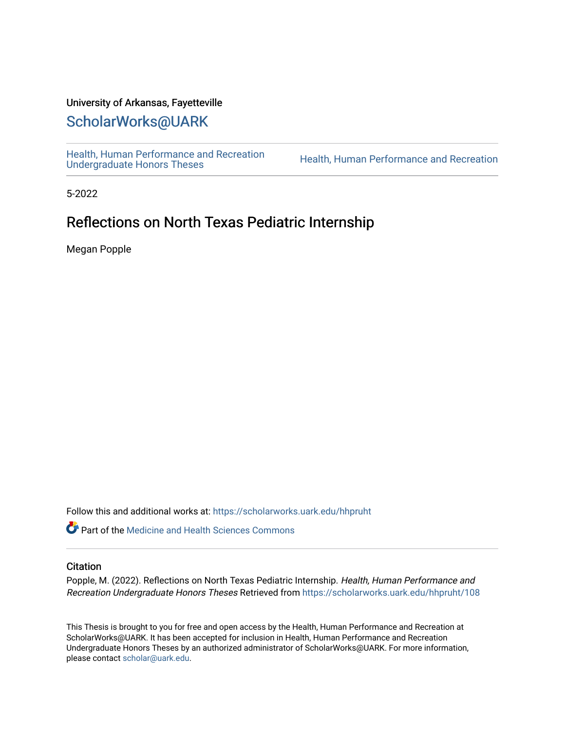## University of Arkansas, Fayetteville

# [ScholarWorks@UARK](https://scholarworks.uark.edu/)

[Health, Human Performance and Recreation](https://scholarworks.uark.edu/hhpruht) 

Health, Human Performance and Recreation

5-2022

## Reflections on North Texas Pediatric Internship

Megan Popple

Follow this and additional works at: [https://scholarworks.uark.edu/hhpruht](https://scholarworks.uark.edu/hhpruht?utm_source=scholarworks.uark.edu%2Fhhpruht%2F108&utm_medium=PDF&utm_campaign=PDFCoverPages) 

**C** Part of the Medicine and Health Sciences Commons

#### **Citation**

Popple, M. (2022). Reflections on North Texas Pediatric Internship. Health, Human Performance and Recreation Undergraduate Honors Theses Retrieved from [https://scholarworks.uark.edu/hhpruht/108](https://scholarworks.uark.edu/hhpruht/108?utm_source=scholarworks.uark.edu%2Fhhpruht%2F108&utm_medium=PDF&utm_campaign=PDFCoverPages)

This Thesis is brought to you for free and open access by the Health, Human Performance and Recreation at ScholarWorks@UARK. It has been accepted for inclusion in Health, Human Performance and Recreation Undergraduate Honors Theses by an authorized administrator of ScholarWorks@UARK. For more information, please contact [scholar@uark.edu](mailto:scholar@uark.edu).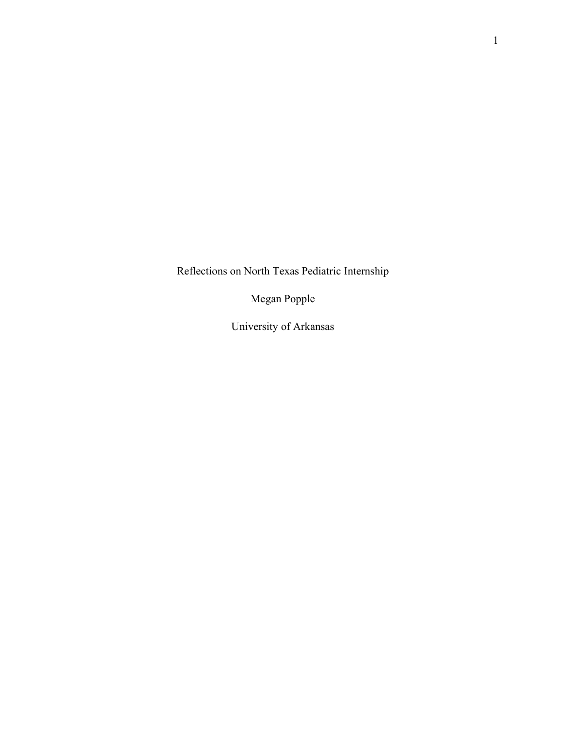Reflections on North Texas Pediatric Internship

Megan Popple

University of Arkansas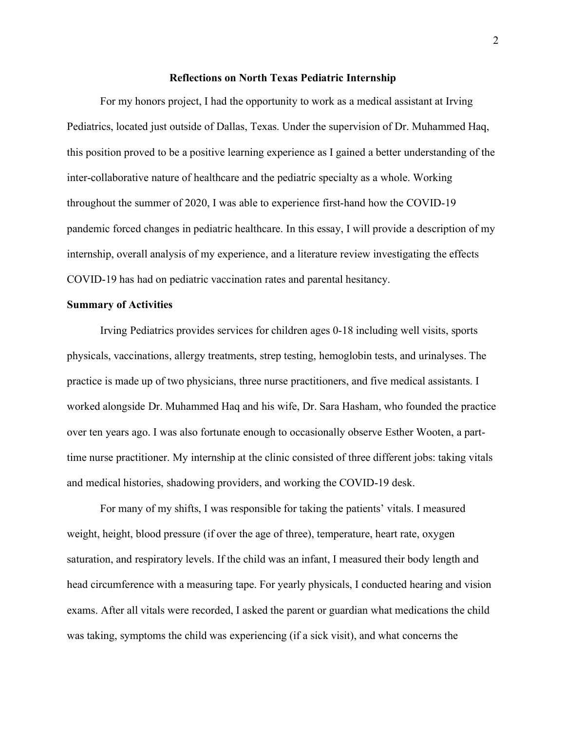#### **Reflections on North Texas Pediatric Internship**

For my honors project, I had the opportunity to work as a medical assistant at Irving Pediatrics, located just outside of Dallas, Texas. Under the supervision of Dr. Muhammed Haq, this position proved to be a positive learning experience as I gained a better understanding of the inter-collaborative nature of healthcare and the pediatric specialty as a whole. Working throughout the summer of 2020, I was able to experience first-hand how the COVID-19 pandemic forced changes in pediatric healthcare. In this essay, I will provide a description of my internship, overall analysis of my experience, and a literature review investigating the effects COVID-19 has had on pediatric vaccination rates and parental hesitancy.

### **Summary of Activities**

Irving Pediatrics provides services for children ages 0-18 including well visits, sports physicals, vaccinations, allergy treatments, strep testing, hemoglobin tests, and urinalyses. The practice is made up of two physicians, three nurse practitioners, and five medical assistants. I worked alongside Dr. Muhammed Haq and his wife, Dr. Sara Hasham, who founded the practice over ten years ago. I was also fortunate enough to occasionally observe Esther Wooten, a parttime nurse practitioner. My internship at the clinic consisted of three different jobs: taking vitals and medical histories, shadowing providers, and working the COVID-19 desk.

For many of my shifts, I was responsible for taking the patients' vitals. I measured weight, height, blood pressure (if over the age of three), temperature, heart rate, oxygen saturation, and respiratory levels. If the child was an infant, I measured their body length and head circumference with a measuring tape. For yearly physicals, I conducted hearing and vision exams. After all vitals were recorded, I asked the parent or guardian what medications the child was taking, symptoms the child was experiencing (if a sick visit), and what concerns the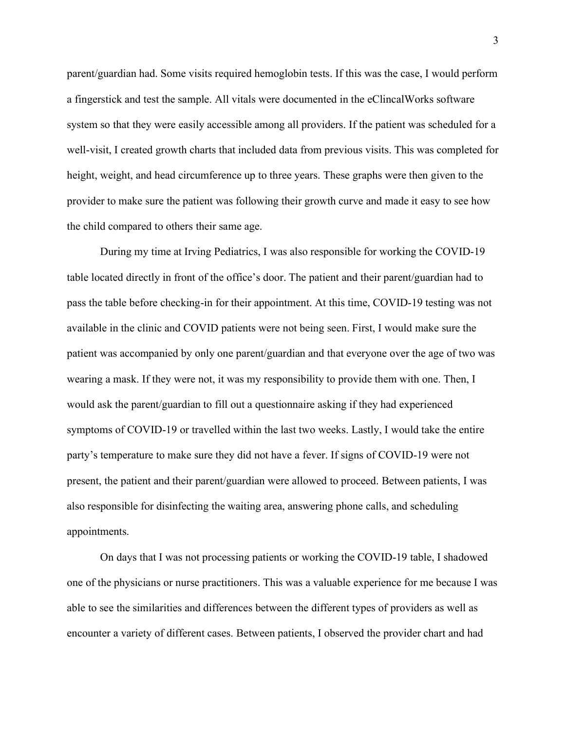parent/guardian had. Some visits required hemoglobin tests. If this was the case, I would perform a fingerstick and test the sample. All vitals were documented in the eClincalWorks software system so that they were easily accessible among all providers. If the patient was scheduled for a well-visit, I created growth charts that included data from previous visits. This was completed for height, weight, and head circumference up to three years. These graphs were then given to the provider to make sure the patient was following their growth curve and made it easy to see how the child compared to others their same age.

During my time at Irving Pediatrics, I was also responsible for working the COVID-19 table located directly in front of the office's door. The patient and their parent/guardian had to pass the table before checking-in for their appointment. At this time, COVID-19 testing was not available in the clinic and COVID patients were not being seen. First, I would make sure the patient was accompanied by only one parent/guardian and that everyone over the age of two was wearing a mask. If they were not, it was my responsibility to provide them with one. Then, I would ask the parent/guardian to fill out a questionnaire asking if they had experienced symptoms of COVID-19 or travelled within the last two weeks. Lastly, I would take the entire party's temperature to make sure they did not have a fever. If signs of COVID-19 were not present, the patient and their parent/guardian were allowed to proceed. Between patients, I was also responsible for disinfecting the waiting area, answering phone calls, and scheduling appointments.

On days that I was not processing patients or working the COVID-19 table, I shadowed one of the physicians or nurse practitioners. This was a valuable experience for me because I was able to see the similarities and differences between the different types of providers as well as encounter a variety of different cases. Between patients, I observed the provider chart and had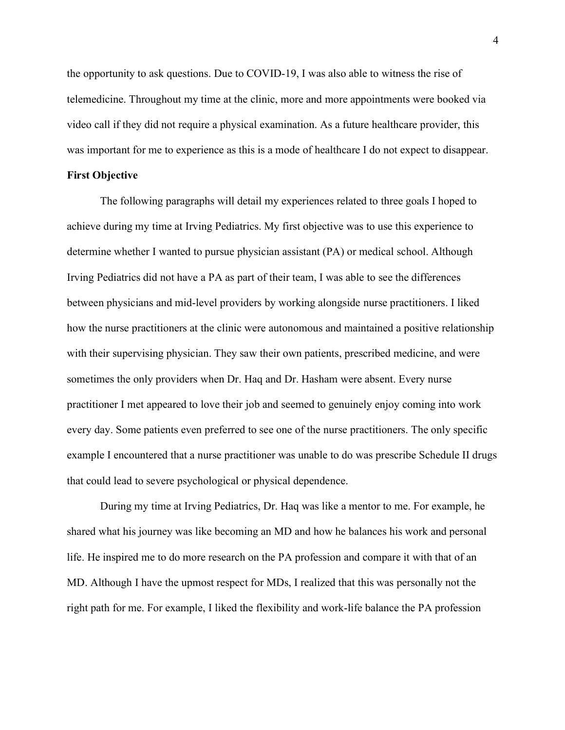the opportunity to ask questions. Due to COVID-19, I was also able to witness the rise of telemedicine. Throughout my time at the clinic, more and more appointments were booked via video call if they did not require a physical examination. As a future healthcare provider, this was important for me to experience as this is a mode of healthcare I do not expect to disappear.

## **First Objective**

The following paragraphs will detail my experiences related to three goals I hoped to achieve during my time at Irving Pediatrics. My first objective was to use this experience to determine whether I wanted to pursue physician assistant (PA) or medical school. Although Irving Pediatrics did not have a PA as part of their team, I was able to see the differences between physicians and mid-level providers by working alongside nurse practitioners. I liked how the nurse practitioners at the clinic were autonomous and maintained a positive relationship with their supervising physician. They saw their own patients, prescribed medicine, and were sometimes the only providers when Dr. Haq and Dr. Hasham were absent. Every nurse practitioner I met appeared to love their job and seemed to genuinely enjoy coming into work every day. Some patients even preferred to see one of the nurse practitioners. The only specific example I encountered that a nurse practitioner was unable to do was prescribe Schedule II drugs that could lead to severe psychological or physical dependence.

During my time at Irving Pediatrics, Dr. Haq was like a mentor to me. For example, he shared what his journey was like becoming an MD and how he balances his work and personal life. He inspired me to do more research on the PA profession and compare it with that of an MD. Although I have the upmost respect for MDs, I realized that this was personally not the right path for me. For example, I liked the flexibility and work-life balance the PA profession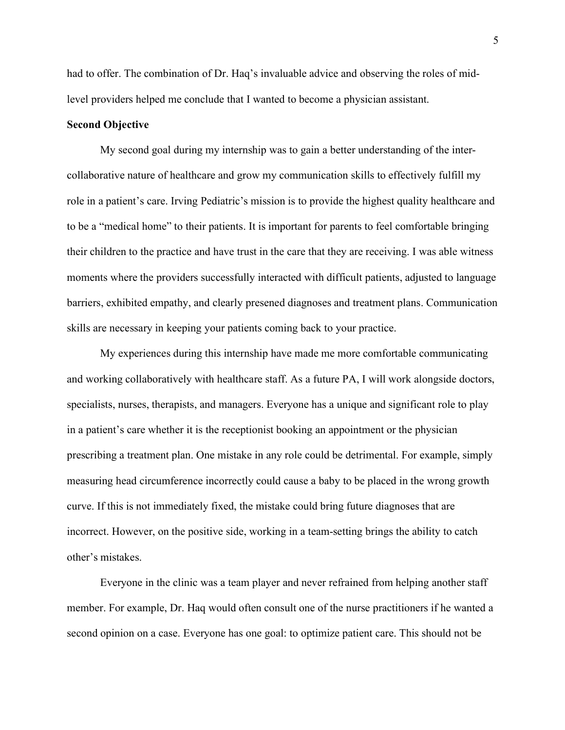had to offer. The combination of Dr. Haq's invaluable advice and observing the roles of midlevel providers helped me conclude that I wanted to become a physician assistant.

## **Second Objective**

My second goal during my internship was to gain a better understanding of the intercollaborative nature of healthcare and grow my communication skills to effectively fulfill my role in a patient's care. Irving Pediatric's mission is to provide the highest quality healthcare and to be a "medical home" to their patients. It is important for parents to feel comfortable bringing their children to the practice and have trust in the care that they are receiving. I was able witness moments where the providers successfully interacted with difficult patients, adjusted to language barriers, exhibited empathy, and clearly presened diagnoses and treatment plans. Communication skills are necessary in keeping your patients coming back to your practice.

My experiences during this internship have made me more comfortable communicating and working collaboratively with healthcare staff. As a future PA, I will work alongside doctors, specialists, nurses, therapists, and managers. Everyone has a unique and significant role to play in a patient's care whether it is the receptionist booking an appointment or the physician prescribing a treatment plan. One mistake in any role could be detrimental. For example, simply measuring head circumference incorrectly could cause a baby to be placed in the wrong growth curve. If this is not immediately fixed, the mistake could bring future diagnoses that are incorrect. However, on the positive side, working in a team-setting brings the ability to catch other's mistakes.

Everyone in the clinic was a team player and never refrained from helping another staff member. For example, Dr. Haq would often consult one of the nurse practitioners if he wanted a second opinion on a case. Everyone has one goal: to optimize patient care. This should not be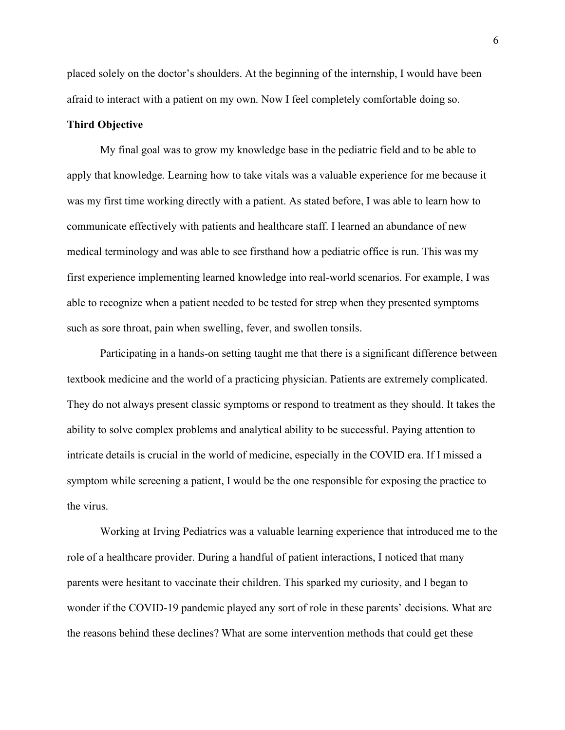placed solely on the doctor's shoulders. At the beginning of the internship, I would have been afraid to interact with a patient on my own. Now I feel completely comfortable doing so.

#### **Third Objective**

My final goal was to grow my knowledge base in the pediatric field and to be able to apply that knowledge. Learning how to take vitals was a valuable experience for me because it was my first time working directly with a patient. As stated before, I was able to learn how to communicate effectively with patients and healthcare staff. I learned an abundance of new medical terminology and was able to see firsthand how a pediatric office is run. This was my first experience implementing learned knowledge into real-world scenarios. For example, I was able to recognize when a patient needed to be tested for strep when they presented symptoms such as sore throat, pain when swelling, fever, and swollen tonsils.

Participating in a hands-on setting taught me that there is a significant difference between textbook medicine and the world of a practicing physician. Patients are extremely complicated. They do not always present classic symptoms or respond to treatment as they should. It takes the ability to solve complex problems and analytical ability to be successful. Paying attention to intricate details is crucial in the world of medicine, especially in the COVID era. If I missed a symptom while screening a patient, I would be the one responsible for exposing the practice to the virus.

Working at Irving Pediatrics was a valuable learning experience that introduced me to the role of a healthcare provider. During a handful of patient interactions, I noticed that many parents were hesitant to vaccinate their children. This sparked my curiosity, and I began to wonder if the COVID-19 pandemic played any sort of role in these parents' decisions. What are the reasons behind these declines? What are some intervention methods that could get these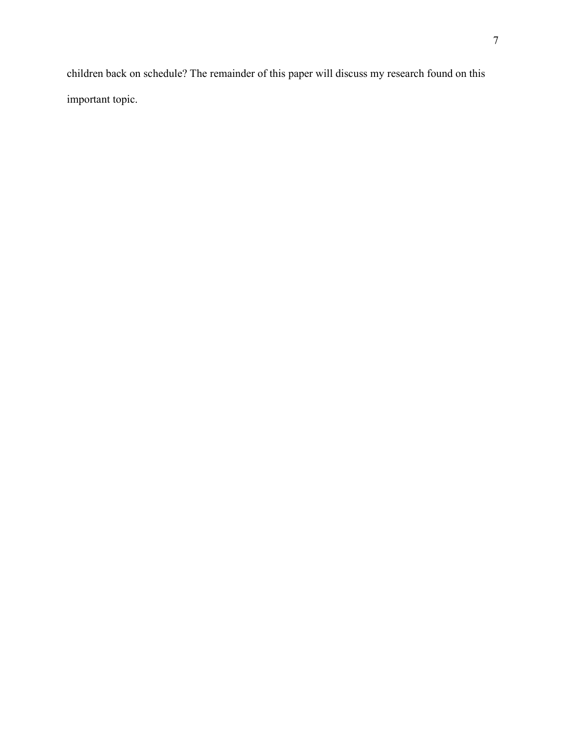children back on schedule? The remainder of this paper will discuss my research found on this important topic.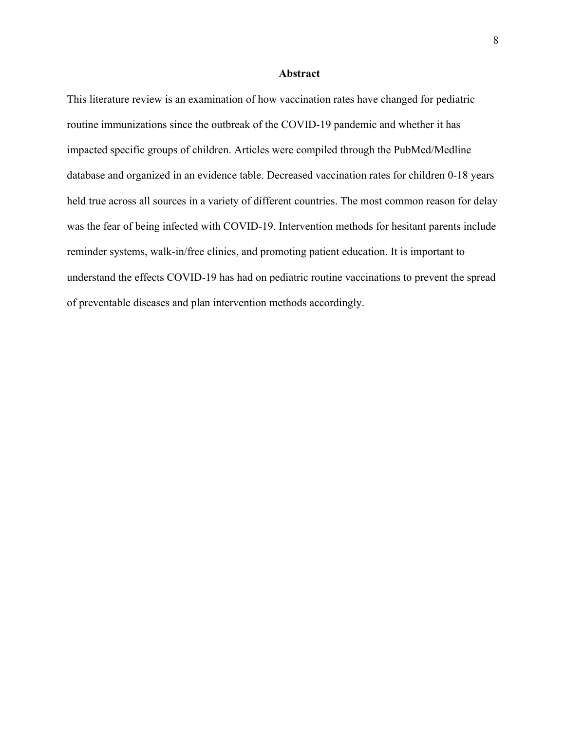#### **Abstract**

This literature review is an examination of how vaccination rates have changed for pediatric routine immunizations since the outbreak of the COVID-19 pandemic and whether it has impacted specific groups of children. Articles were compiled through the PubMed/Medline database and organized in an evidence table. Decreased vaccination rates for children 0-18 years held true across all sources in a variety of different countries. The most common reason for delay was the fear of being infected with COVID-19. Intervention methods for hesitant parents include reminder systems, walk-in/free clinics, and promoting patient education. It is important to understand the effects COVID-19 has had on pediatric routine vaccinations to prevent the spread of preventable diseases and plan intervention methods accordingly.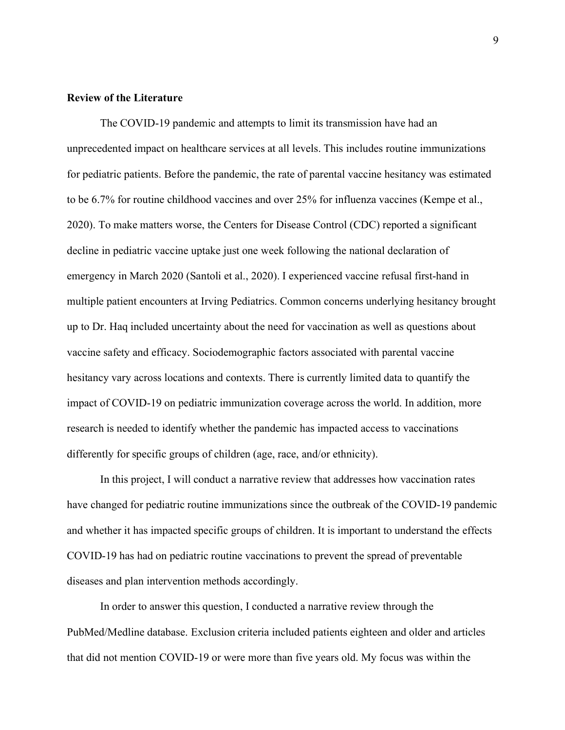### **Review of the Literature**

The COVID-19 pandemic and attempts to limit its transmission have had an unprecedented impact on healthcare services at all levels. This includes routine immunizations for pediatric patients. Before the pandemic, the rate of parental vaccine hesitancy was estimated to be 6.7% for routine childhood vaccines and over 25% for influenza vaccines (Kempe et al., 2020). To make matters worse, the Centers for Disease Control (CDC) reported a significant decline in pediatric vaccine uptake just one week following the national declaration of emergency in March 2020 (Santoli et al., 2020). I experienced vaccine refusal first-hand in multiple patient encounters at Irving Pediatrics. Common concerns underlying hesitancy brought up to Dr. Haq included uncertainty about the need for vaccination as well as questions about vaccine safety and efficacy. Sociodemographic factors associated with parental vaccine hesitancy vary across locations and contexts. There is currently limited data to quantify the impact of COVID-19 on pediatric immunization coverage across the world. In addition, more research is needed to identify whether the pandemic has impacted access to vaccinations differently for specific groups of children (age, race, and/or ethnicity).

In this project, I will conduct a narrative review that addresses how vaccination rates have changed for pediatric routine immunizations since the outbreak of the COVID-19 pandemic and whether it has impacted specific groups of children. It is important to understand the effects COVID-19 has had on pediatric routine vaccinations to prevent the spread of preventable diseases and plan intervention methods accordingly.

In order to answer this question, I conducted a narrative review through the PubMed/Medline database. Exclusion criteria included patients eighteen and older and articles that did not mention COVID-19 or were more than five years old. My focus was within the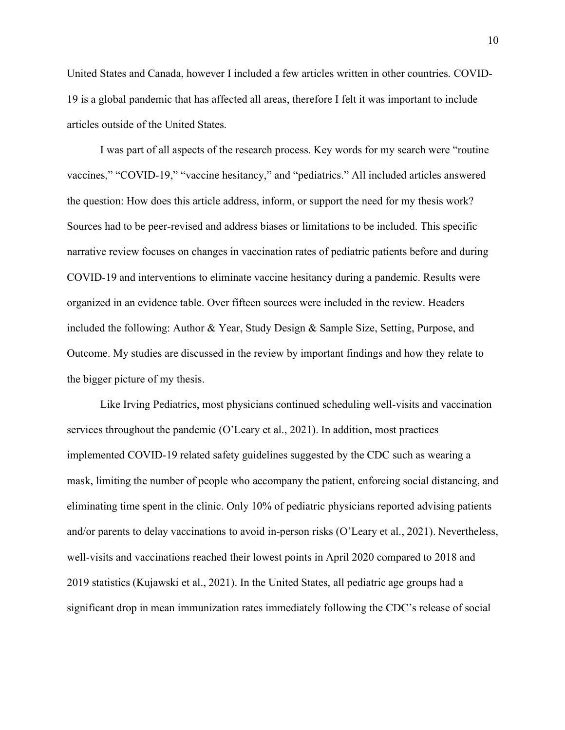United States and Canada, however I included a few articles written in other countries. COVID-19 is a global pandemic that has affected all areas, therefore I felt it was important to include articles outside of the United States.

I was part of all aspects of the research process. Key words for my search were "routine vaccines," "COVID-19," "vaccine hesitancy," and "pediatrics." All included articles answered the question: How does this article address, inform, or support the need for my thesis work? Sources had to be peer-revised and address biases or limitations to be included. This specific narrative review focuses on changes in vaccination rates of pediatric patients before and during COVID-19 and interventions to eliminate vaccine hesitancy during a pandemic. Results were organized in an evidence table. Over fifteen sources were included in the review. Headers included the following: Author & Year, Study Design & Sample Size, Setting, Purpose, and Outcome. My studies are discussed in the review by important findings and how they relate to the bigger picture of my thesis.

Like Irving Pediatrics, most physicians continued scheduling well-visits and vaccination services throughout the pandemic (O'Leary et al., 2021). In addition, most practices implemented COVID-19 related safety guidelines suggested by the CDC such as wearing a mask, limiting the number of people who accompany the patient, enforcing social distancing, and eliminating time spent in the clinic. Only 10% of pediatric physicians reported advising patients and/or parents to delay vaccinations to avoid in-person risks (O'Leary et al., 2021). Nevertheless, well-visits and vaccinations reached their lowest points in April 2020 compared to 2018 and 2019 statistics (Kujawski et al., 2021). In the United States, all pediatric age groups had a significant drop in mean immunization rates immediately following the CDC's release of social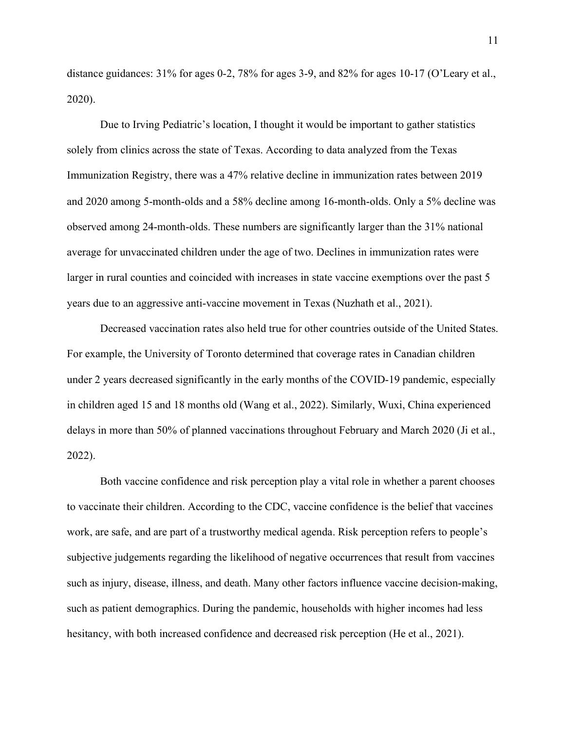distance guidances: 31% for ages 0-2, 78% for ages 3-9, and 82% for ages 10-17 (O'Leary et al., 2020).

Due to Irving Pediatric's location, I thought it would be important to gather statistics solely from clinics across the state of Texas. According to data analyzed from the Texas Immunization Registry, there was a 47% relative decline in immunization rates between 2019 and 2020 among 5-month-olds and a 58% decline among 16-month-olds. Only a 5% decline was observed among 24-month-olds. These numbers are significantly larger than the 31% national average for unvaccinated children under the age of two. Declines in immunization rates were larger in rural counties and coincided with increases in state vaccine exemptions over the past 5 years due to an aggressive anti-vaccine movement in Texas (Nuzhath et al., 2021).

Decreased vaccination rates also held true for other countries outside of the United States. For example, the University of Toronto determined that coverage rates in Canadian children under 2 years decreased significantly in the early months of the COVID-19 pandemic, especially in children aged 15 and 18 months old (Wang et al., 2022). Similarly, Wuxi, China experienced delays in more than 50% of planned vaccinations throughout February and March 2020 (Ji et al., 2022).

Both vaccine confidence and risk perception play a vital role in whether a parent chooses to vaccinate their children. According to the CDC, vaccine confidence is the belief that vaccines work, are safe, and are part of a trustworthy medical agenda. Risk perception refers to people's subjective judgements regarding the likelihood of negative occurrences that result from vaccines such as injury, disease, illness, and death. Many other factors influence vaccine decision-making, such as patient demographics. During the pandemic, households with higher incomes had less hesitancy, with both increased confidence and decreased risk perception (He et al., 2021).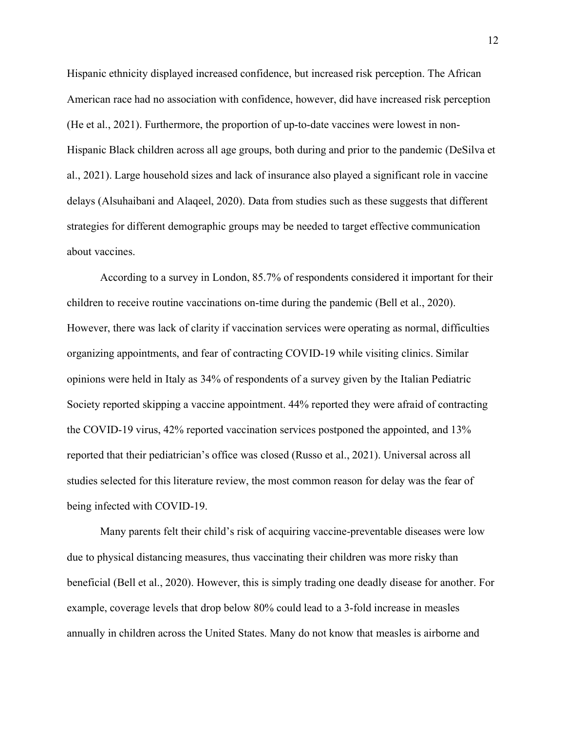Hispanic ethnicity displayed increased confidence, but increased risk perception. The African American race had no association with confidence, however, did have increased risk perception (He et al., 2021). Furthermore, the proportion of up-to-date vaccines were lowest in non-Hispanic Black children across all age groups, both during and prior to the pandemic (DeSilva et al., 2021). Large household sizes and lack of insurance also played a significant role in vaccine delays (Alsuhaibani and Alaqeel, 2020). Data from studies such as these suggests that different strategies for different demographic groups may be needed to target effective communication about vaccines.

According to a survey in London, 85.7% of respondents considered it important for their children to receive routine vaccinations on-time during the pandemic (Bell et al., 2020). However, there was lack of clarity if vaccination services were operating as normal, difficulties organizing appointments, and fear of contracting COVID-19 while visiting clinics. Similar opinions were held in Italy as 34% of respondents of a survey given by the Italian Pediatric Society reported skipping a vaccine appointment. 44% reported they were afraid of contracting the COVID-19 virus, 42% reported vaccination services postponed the appointed, and 13% reported that their pediatrician's office was closed (Russo et al., 2021). Universal across all studies selected for this literature review, the most common reason for delay was the fear of being infected with COVID-19.

Many parents felt their child's risk of acquiring vaccine-preventable diseases were low due to physical distancing measures, thus vaccinating their children was more risky than beneficial (Bell et al., 2020). However, this is simply trading one deadly disease for another. For example, coverage levels that drop below 80% could lead to a 3-fold increase in measles annually in children across the United States. Many do not know that measles is airborne and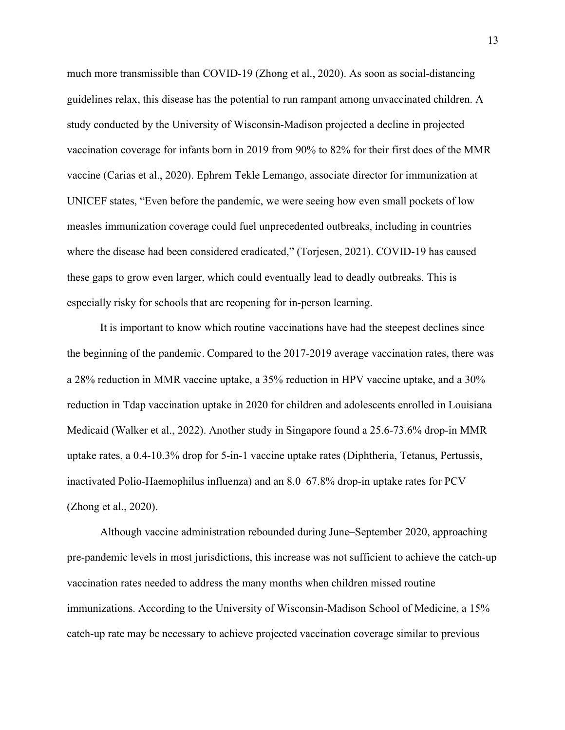much more transmissible than COVID-19 (Zhong et al., 2020). As soon as social-distancing guidelines relax, this disease has the potential to run rampant among unvaccinated children. A study conducted by the University of Wisconsin-Madison projected a decline in projected vaccination coverage for infants born in 2019 from 90% to 82% for their first does of the MMR vaccine (Carias et al., 2020). Ephrem Tekle Lemango, associate director for immunization at UNICEF states, "Even before the pandemic, we were seeing how even small pockets of low measles immunization coverage could fuel unprecedented outbreaks, including in countries where the disease had been considered eradicated," (Torjesen, 2021). COVID-19 has caused these gaps to grow even larger, which could eventually lead to deadly outbreaks. This is especially risky for schools that are reopening for in-person learning.

It is important to know which routine vaccinations have had the steepest declines since the beginning of the pandemic. Compared to the 2017-2019 average vaccination rates, there was a 28% reduction in MMR vaccine uptake, a 35% reduction in HPV vaccine uptake, and a 30% reduction in Tdap vaccination uptake in 2020 for children and adolescents enrolled in Louisiana Medicaid (Walker et al., 2022). Another study in Singapore found a 25.6-73.6% drop-in MMR uptake rates, a 0.4-10.3% drop for 5-in-1 vaccine uptake rates (Diphtheria, Tetanus, Pertussis, inactivated Polio-Haemophilus influenza) and an 8.0–67.8% drop-in uptake rates for PCV (Zhong et al., 2020).

Although vaccine administration rebounded during June–September 2020, approaching pre-pandemic levels in most jurisdictions, this increase was not sufficient to achieve the catch-up vaccination rates needed to address the many months when children missed routine immunizations. According to the University of Wisconsin-Madison School of Medicine, a 15% catch-up rate may be necessary to achieve projected vaccination coverage similar to previous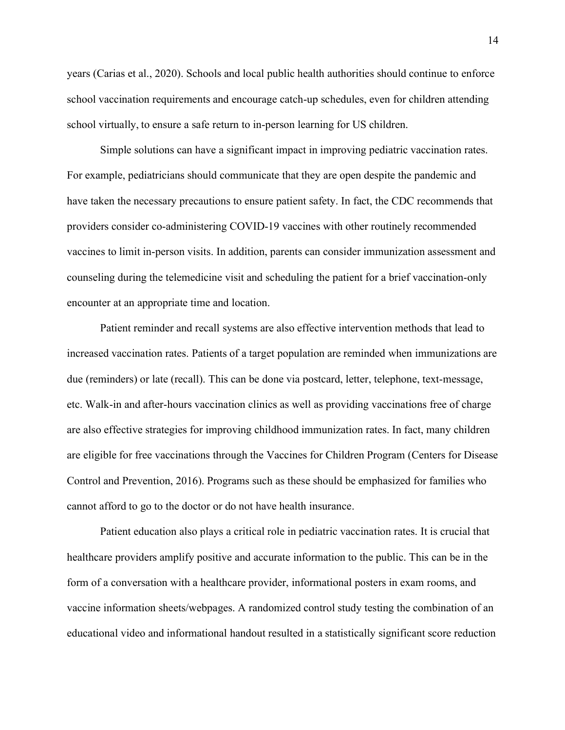years (Carias et al., 2020). Schools and local public health authorities should continue to enforce school vaccination requirements and encourage catch-up schedules, even for children attending school virtually, to ensure a safe return to in-person learning for US children.

Simple solutions can have a significant impact in improving pediatric vaccination rates. For example, pediatricians should communicate that they are open despite the pandemic and have taken the necessary precautions to ensure patient safety. In fact, the CDC recommends that providers consider co-administering COVID-19 vaccines with other routinely recommended vaccines to limit in-person visits. In addition, parents can consider immunization assessment and counseling during the telemedicine visit and scheduling the patient for a brief vaccination-only encounter at an appropriate time and location.

Patient reminder and recall systems are also effective intervention methods that lead to increased vaccination rates. Patients of a target population are reminded when immunizations are due (reminders) or late (recall). This can be done via postcard, letter, telephone, text-message, etc. Walk-in and after-hours vaccination clinics as well as providing vaccinations free of charge are also effective strategies for improving childhood immunization rates. In fact, many children are eligible for free vaccinations through the Vaccines for Children Program (Centers for Disease Control and Prevention, 2016). Programs such as these should be emphasized for families who cannot afford to go to the doctor or do not have health insurance.

Patient education also plays a critical role in pediatric vaccination rates. It is crucial that healthcare providers amplify positive and accurate information to the public. This can be in the form of a conversation with a healthcare provider, informational posters in exam rooms, and vaccine information sheets/webpages. A randomized control study testing the combination of an educational video and informational handout resulted in a statistically significant score reduction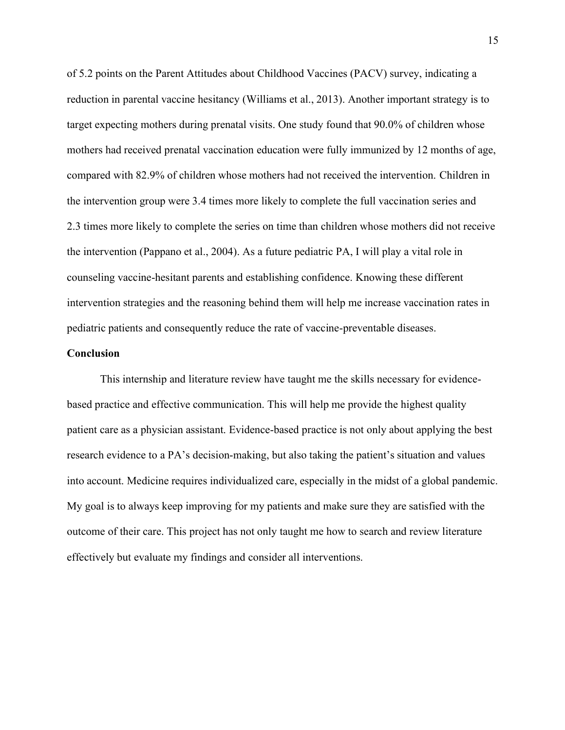of 5.2 points on the Parent Attitudes about Childhood Vaccines (PACV) survey, indicating a reduction in parental vaccine hesitancy (Williams et al., 2013). Another important strategy is to target expecting mothers during prenatal visits. One study found that 90.0% of children whose mothers had received prenatal vaccination education were fully immunized by 12 months of age, compared with 82.9% of children whose mothers had not received the intervention. Children in the intervention group were 3.4 times more likely to complete the full vaccination series and 2.3 times more likely to complete the series on time than children whose mothers did not receive the intervention (Pappano et al., 2004). As a future pediatric PA, I will play a vital role in counseling vaccine-hesitant parents and establishing confidence. Knowing these different intervention strategies and the reasoning behind them will help me increase vaccination rates in pediatric patients and consequently reduce the rate of vaccine-preventable diseases.

### **Conclusion**

This internship and literature review have taught me the skills necessary for evidencebased practice and effective communication. This will help me provide the highest quality patient care as a physician assistant. Evidence-based practice is not only about applying the best research evidence to a PA's decision-making, but also taking the patient's situation and values into account. Medicine requires individualized care, especially in the midst of a global pandemic. My goal is to always keep improving for my patients and make sure they are satisfied with the outcome of their care. This project has not only taught me how to search and review literature effectively but evaluate my findings and consider all interventions.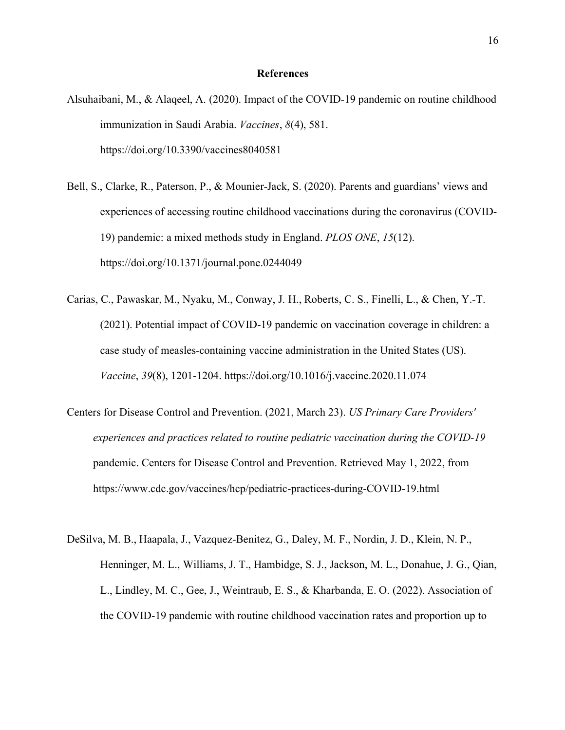#### **References**

- Alsuhaibani, M., & Alaqeel, A. (2020). Impact of the COVID-19 pandemic on routine childhood immunization in Saudi Arabia. *Vaccines*, *8*(4), 581. https://doi.org/10.3390/vaccines8040581
- Bell, S., Clarke, R., Paterson, P., & Mounier-Jack, S. (2020). Parents and guardians' views and experiences of accessing routine childhood vaccinations during the coronavirus (COVID-19) pandemic: a mixed methods study in England. *PLOS ONE*, *15*(12). https://doi.org/10.1371/journal.pone.0244049
- Carias, C., Pawaskar, M., Nyaku, M., Conway, J. H., Roberts, C. S., Finelli, L., & Chen, Y.-T. (2021). Potential impact of COVID-19 pandemic on vaccination coverage in children: a case study of measles-containing vaccine administration in the United States (US). *Vaccine*, *39*(8), 1201-1204. https://doi.org/10.1016/j.vaccine.2020.11.074
- Centers for Disease Control and Prevention. (2021, March 23). *US Primary Care Providers' experiences and practices related to routine pediatric vaccination during the COVID-19* pandemic. Centers for Disease Control and Prevention. Retrieved May 1, 2022, from https://www.cdc.gov/vaccines/hcp/pediatric-practices-during-COVID-19.html
- DeSilva, M. B., Haapala, J., Vazquez-Benitez, G., Daley, M. F., Nordin, J. D., Klein, N. P., Henninger, M. L., Williams, J. T., Hambidge, S. J., Jackson, M. L., Donahue, J. G., Qian, L., Lindley, M. C., Gee, J., Weintraub, E. S., & Kharbanda, E. O. (2022). Association of the COVID-19 pandemic with routine childhood vaccination rates and proportion up to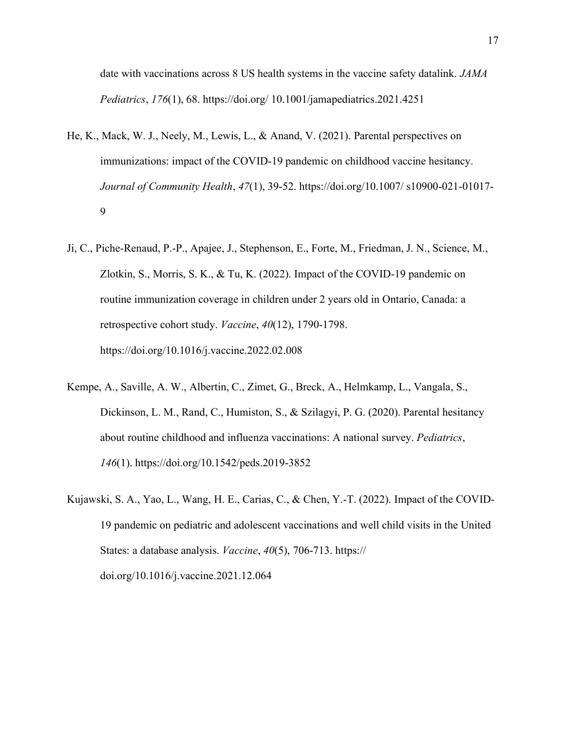date with vaccinations across 8 US health systems in the vaccine safety datalink. *JAMA Pediatrics*, *176*(1), 68. https://doi.org/ 10.1001/jamapediatrics.2021.4251

- He, K., Mack, W. J., Neely, M., Lewis, L., & Anand, V. (2021). Parental perspectives on immunizations: impact of the COVID-19 pandemic on childhood vaccine hesitancy. *Journal of Community Health*, *47*(1), 39-52. https://doi.org/10.1007/ s10900-021-01017- 9
- Ji, C., Piche-Renaud, P.-P., Apajee, J., Stephenson, E., Forte, M., Friedman, J. N., Science, M., Zlotkin, S., Morris, S. K., & Tu, K. (2022). Impact of the COVID-19 pandemic on routine immunization coverage in children under 2 years old in Ontario, Canada: a retrospective cohort study. *Vaccine*, *40*(12), 1790-1798. https://doi.org/10.1016/j.vaccine.2022.02.008
- Kempe, A., Saville, A. W., Albertin, C., Zimet, G., Breck, A., Helmkamp, L., Vangala, S., Dickinson, L. M., Rand, C., Humiston, S., & Szilagyi, P. G. (2020). Parental hesitancy about routine childhood and influenza vaccinations: A national survey. *Pediatrics*, *146*(1). https://doi.org/10.1542/peds.2019-3852
- Kujawski, S. A., Yao, L., Wang, H. E., Carias, C., & Chen, Y.-T. (2022). Impact of the COVID-19 pandemic on pediatric and adolescent vaccinations and well child visits in the United States: a database analysis. *Vaccine*, *40*(5), 706-713. https:// doi.org/10.1016/j.vaccine.2021.12.064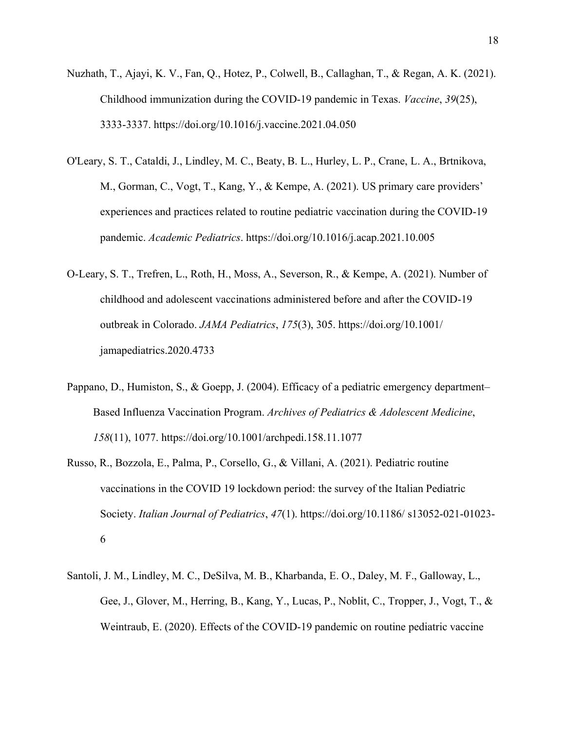- Nuzhath, T., Ajayi, K. V., Fan, Q., Hotez, P., Colwell, B., Callaghan, T., & Regan, A. K. (2021). Childhood immunization during the COVID-19 pandemic in Texas. *Vaccine*, *39*(25), 3333-3337. https://doi.org/10.1016/j.vaccine.2021.04.050
- O'Leary, S. T., Cataldi, J., Lindley, M. C., Beaty, B. L., Hurley, L. P., Crane, L. A., Brtnikova, M., Gorman, C., Vogt, T., Kang, Y., & Kempe, A. (2021). US primary care providers' experiences and practices related to routine pediatric vaccination during the COVID-19 pandemic. *Academic Pediatrics*. https://doi.org/10.1016/j.acap.2021.10.005
- O-Leary, S. T., Trefren, L., Roth, H., Moss, A., Severson, R., & Kempe, A. (2021). Number of childhood and adolescent vaccinations administered before and after the COVID-19 outbreak in Colorado. *JAMA Pediatrics*, *175*(3), 305. https://doi.org/10.1001/ jamapediatrics.2020.4733
- Pappano, D., Humiston, S., & Goepp, J. (2004). Efficacy of a pediatric emergency department– Based Influenza Vaccination Program. *Archives of Pediatrics & Adolescent Medicine*, *158*(11), 1077. https://doi.org/10.1001/archpedi.158.11.1077
- Russo, R., Bozzola, E., Palma, P., Corsello, G., & Villani, A. (2021). Pediatric routine vaccinations in the COVID 19 lockdown period: the survey of the Italian Pediatric Society. *Italian Journal of Pediatrics*, *47*(1). https://doi.org/10.1186/ s13052-021-01023- 6
- Santoli, J. M., Lindley, M. C., DeSilva, M. B., Kharbanda, E. O., Daley, M. F., Galloway, L., Gee, J., Glover, M., Herring, B., Kang, Y., Lucas, P., Noblit, C., Tropper, J., Vogt, T., & Weintraub, E. (2020). Effects of the COVID-19 pandemic on routine pediatric vaccine